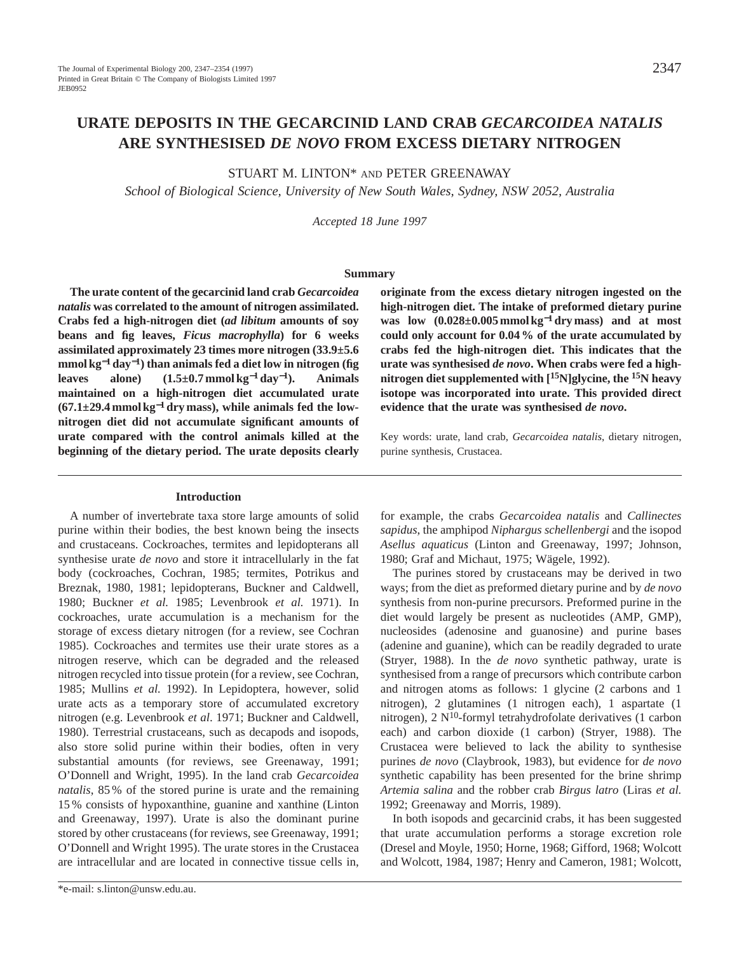STUART M. LINTON\* AND PETER GREENAWAY

*School of Biological Science, University of New South Wales, Sydney, NSW 2052, Australia*

*Accepted 18 June 1997*

### **Summary**

**The urate content of the gecarcinid land crab** *Gecarcoidea natalis* **was correlated to the amount of nitrogen assimilated. Crabs fed a high-nitrogen diet (***ad libitum* **amounts of soy beans and fig leaves,** *Ficus macrophylla***) for 6 weeks assimilated approximately 23 times more nitrogen (33.9±5.6 mmol kg**−**<sup>1</sup> day**<sup>−</sup>**1) than animals fed a diet low in nitrogen (fig leaves alone) (1.5±0.7 mmol kg**−**<sup>1</sup> day**<sup>−</sup>**1). Animals maintained on a high-nitrogen diet accumulated urate (67.1±29.4 mmol kg**−**<sup>1</sup> dry mass), while animals fed the lownitrogen diet did not accumulate significant amounts of urate compared with the control animals killed at the beginning of the dietary period. The urate deposits clearly**

#### **Introduction**

A number of invertebrate taxa store large amounts of solid purine within their bodies, the best known being the insects and crustaceans. Cockroaches, termites and lepidopterans all synthesise urate *de novo* and store it intracellularly in the fat body (cockroaches, Cochran, 1985; termites, Potrikus and Breznak, 1980, 1981; lepidopterans, Buckner and Caldwell, 1980; Buckner *et al.* 1985; Levenbrook *et al.* 1971). In cockroaches, urate accumulation is a mechanism for the storage of excess dietary nitrogen (for a review, see Cochran 1985). Cockroaches and termites use their urate stores as a nitrogen reserve, which can be degraded and the released nitrogen recycled into tissue protein (for a review, see Cochran, 1985; Mullins *et al.* 1992). In Lepidoptera, however, solid urate acts as a temporary store of accumulated excretory nitrogen (e.g. Levenbrook *et al*. 1971; Buckner and Caldwell, 1980). Terrestrial crustaceans, such as decapods and isopods, also store solid purine within their bodies, often in very substantial amounts (for reviews, see Greenaway, 1991; O'Donnell and Wright, 1995). In the land crab *Gecarcoidea natalis*, 85 % of the stored purine is urate and the remaining 15 % consists of hypoxanthine, guanine and xanthine (Linton and Greenaway, 1997). Urate is also the dominant purine stored by other crustaceans (for reviews, see Greenaway, 1991; O'Donnell and Wright 1995). The urate stores in the Crustacea are intracellular and are located in connective tissue cells in,

**originate from the excess dietary nitrogen ingested on the high-nitrogen diet. The intake of preformed dietary purine was low (0.028±0.005 mmol kg**−**<sup>1</sup> dry mass) and at most could only account for 0.04 % of the urate accumulated by crabs fed the high-nitrogen diet. This indicates that the urate was synthesised** *de novo***. When crabs were fed a highnitrogen diet supplemented with [15N]glycine, the 15N heavy isotope was incorporated into urate. This provided direct evidence that the urate was synthesised** *de novo***.**

Key words: urate, land crab, *Gecarcoidea natalis*, dietary nitrogen, purine synthesis, Crustacea.

for example, the crabs *Gecarcoidea natalis* and *Callinectes sapidus*, the amphipod *Niphargus schellenbergi* and the isopod *Asellus aquaticus* (Linton and Greenaway, 1997; Johnson, 1980; Graf and Michaut, 1975; Wägele, 1992).

The purines stored by crustaceans may be derived in two ways; from the diet as preformed dietary purine and by *de novo* synthesis from non-purine precursors. Preformed purine in the diet would largely be present as nucleotides (AMP, GMP), nucleosides (adenosine and guanosine) and purine bases (adenine and guanine), which can be readily degraded to urate (Stryer, 1988). In the *de novo* synthetic pathway, urate is synthesised from a range of precursors which contribute carbon and nitrogen atoms as follows: 1 glycine (2 carbons and 1 nitrogen), 2 glutamines (1 nitrogen each), 1 aspartate (1 nitrogen), 2  $N^{10}$ -formyl tetrahydrofolate derivatives (1 carbon each) and carbon dioxide (1 carbon) (Stryer, 1988). The Crustacea were believed to lack the ability to synthesise purines *de novo* (Claybrook, 1983), but evidence for *de novo* synthetic capability has been presented for the brine shrimp *Artemia salina* and the robber crab *Birgus latro* (Liras *et al.* 1992; Greenaway and Morris, 1989).

In both isopods and gecarcinid crabs, it has been suggested that urate accumulation performs a storage excretion role (Dresel and Moyle, 1950; Horne, 1968; Gifford, 1968; Wolcott and Wolcott, 1984, 1987; Henry and Cameron, 1981; Wolcott,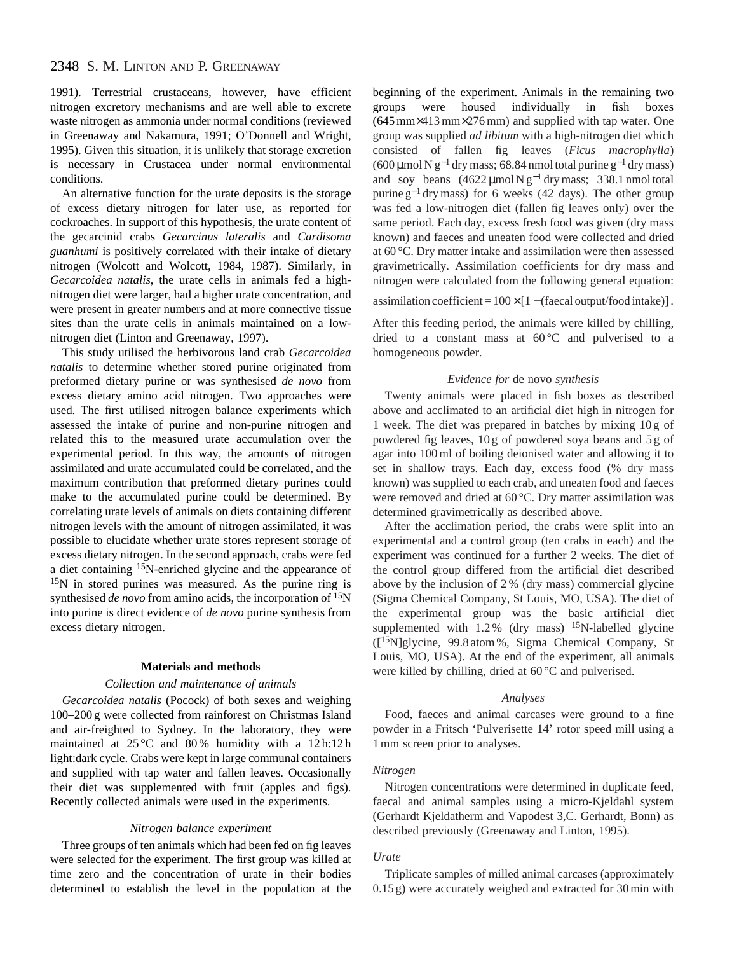# 2348 S. M. LINTON AND P. GREENAWAY

1991). Terrestrial crustaceans, however, have efficient nitrogen excretory mechanisms and are well able to excrete waste nitrogen as ammonia under normal conditions (reviewed in Greenaway and Nakamura, 1991; O'Donnell and Wright, 1995). Given this situation, it is unlikely that storage excretion is necessary in Crustacea under normal environmental conditions.

An alternative function for the urate deposits is the storage of excess dietary nitrogen for later use, as reported for cockroaches. In support of this hypothesis, the urate content of the gecarcinid crabs *Gecarcinus lateralis* and *Cardisoma guanhumi* is positively correlated with their intake of dietary nitrogen (Wolcott and Wolcott, 1984, 1987). Similarly, in *Gecarcoidea natalis*, the urate cells in animals fed a highnitrogen diet were larger, had a higher urate concentration, and were present in greater numbers and at more connective tissue sites than the urate cells in animals maintained on a lownitrogen diet (Linton and Greenaway, 1997).

This study utilised the herbivorous land crab *Gecarcoidea natalis* to determine whether stored purine originated from preformed dietary purine or was synthesised *de novo* from excess dietary amino acid nitrogen. Two approaches were used. The first utilised nitrogen balance experiments which assessed the intake of purine and non-purine nitrogen and related this to the measured urate accumulation over the experimental period. In this way, the amounts of nitrogen assimilated and urate accumulated could be correlated, and the maximum contribution that preformed dietary purines could make to the accumulated purine could be determined. By correlating urate levels of animals on diets containing different nitrogen levels with the amount of nitrogen assimilated, it was possible to elucidate whether urate stores represent storage of excess dietary nitrogen. In the second approach, crabs were fed a diet containing 15N-enriched glycine and the appearance of 15N in stored purines was measured. As the purine ring is synthesised *de novo* from amino acids, the incorporation of 15N into purine is direct evidence of *de novo* purine synthesis from excess dietary nitrogen.

#### **Materials and methods**

#### *Collection and maintenance of animals*

*Gecarcoidea natalis* (Pocock) of both sexes and weighing 100–200 g were collected from rainforest on Christmas Island and air-freighted to Sydney. In the laboratory, they were maintained at  $25^{\circ}$ C and  $80\%$  humidity with a 12h:12h light:dark cycle. Crabs were kept in large communal containers and supplied with tap water and fallen leaves. Occasionally their diet was supplemented with fruit (apples and figs). Recently collected animals were used in the experiments.

#### *Nitrogen balance experiment*

Three groups of ten animals which had been fed on fig leaves were selected for the experiment. The first group was killed at time zero and the concentration of urate in their bodies determined to establish the level in the population at the

beginning of the experiment. Animals in the remaining two groups were housed individually in fish boxes (645mm×413mm×276mm) and supplied with tap water. One group was supplied *ad libitum* with a high-nitrogen diet which consisted of fallen fig leaves (*Ficus macrophylla*) (600 µmol N g<sup>-1</sup> dry mass; 68.84 nmol total purine g<sup>-1</sup> dry mass) and soy beans  $(4622 \mu \text{mol N g}^{-1} \text{ dry mass}; 338.1 \text{ nmol total}$ purine  $g^{-1}$  dry mass) for 6 weeks (42 days). The other group was fed a low-nitrogen diet (fallen fig leaves only) over the same period. Each day, excess fresh food was given (dry mass known) and faeces and uneaten food were collected and dried at 60 °C. Dry matter intake and assimilation were then assessed gravimetrically. Assimilation coefficients for dry mass and nitrogen were calculated from the following general equation:

assimilation coefficient =  $100 \times [1 -$  (faecal output/food intake)].

After this feeding period, the animals were killed by chilling, dried to a constant mass at  $60^{\circ}$ C and pulverised to a homogeneous powder.

### *Evidence for* de novo *synthesis*

Twenty animals were placed in fish boxes as described above and acclimated to an artificial diet high in nitrogen for 1 week. The diet was prepared in batches by mixing 10 g of powdered fig leaves, 10 g of powdered soya beans and 5 g of agar into 100ml of boiling deionised water and allowing it to set in shallow trays. Each day, excess food (% dry mass known) was supplied to each crab, and uneaten food and faeces were removed and dried at 60 °C. Dry matter assimilation was determined gravimetrically as described above.

After the acclimation period, the crabs were split into an experimental and a control group (ten crabs in each) and the experiment was continued for a further 2 weeks. The diet of the control group differed from the artificial diet described above by the inclusion of 2 % (dry mass) commercial glycine (Sigma Chemical Company, St Louis, MO, USA). The diet of the experimental group was the basic artificial diet supplemented with  $1.2\%$  (dry mass) <sup>15</sup>N-labelled glycine  $([15N]$ glycine, 99.8 atom %, Sigma Chemical Company, St Louis, MO, USA). At the end of the experiment, all animals were killed by chilling, dried at 60 °C and pulverised.

#### *Analyses*

Food, faeces and animal carcases were ground to a fine powder in a Fritsch 'Pulverisette 14' rotor speed mill using a 1mm screen prior to analyses.

#### *Nitrogen*

Nitrogen concentrations were determined in duplicate feed, faecal and animal samples using a micro-Kjeldahl system (Gerhardt Kjeldatherm and Vapodest 3,C. Gerhardt, Bonn) as described previously (Greenaway and Linton, 1995).

#### *Urate*

Triplicate samples of milled animal carcases (approximately 0.15 g) were accurately weighed and extracted for 30min with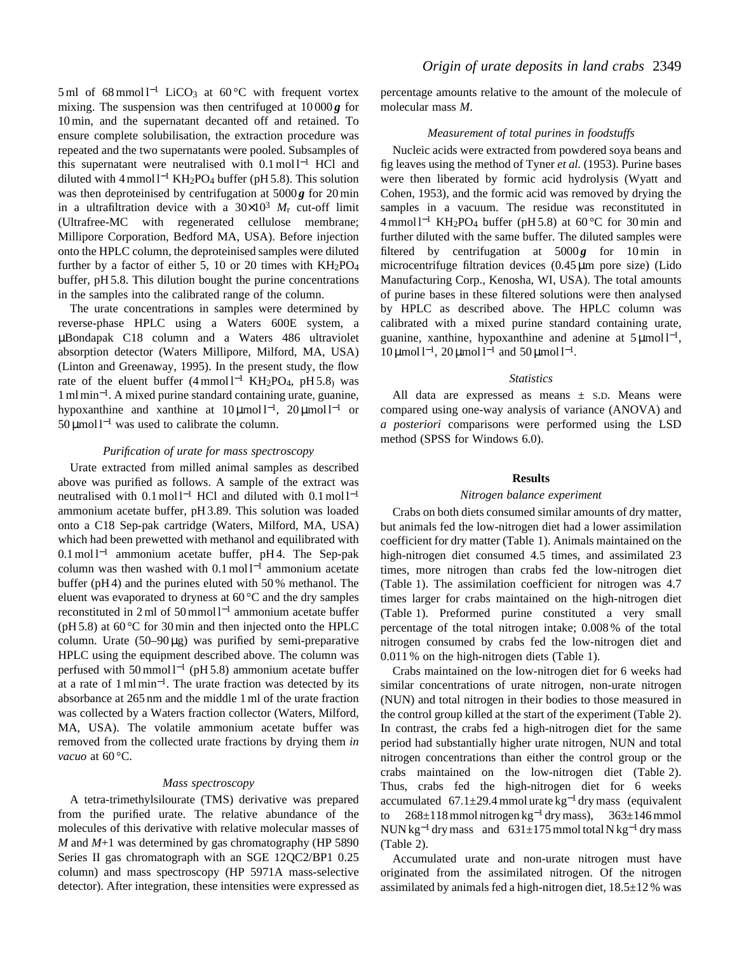5 ml of 68 mmol  $l^{-1}$  LiCO<sub>3</sub> at 60 °C with frequent vortex mixing. The suspension was then centrifuged at  $10000g$  for 10min, and the supernatant decanted off and retained. To ensure complete solubilisation, the extraction procedure was repeated and the two supernatants were pooled. Subsamples of this supernatant were neutralised with  $0.1 \text{ mol}^{-1}$  HCl and diluted with  $4 \text{ mmol } l^{-1}$  KH<sub>2</sub>PO<sub>4</sub> buffer (pH 5.8). This solution was then deproteinised by centrifugation at  $5000\,\text{g}$  for  $20\,\text{min}$ in a ultrafiltration device with a  $30 \times 10^3$   $M_r$  cut-off limit (Ultrafree-MC with regenerated cellulose membrane; Millipore Corporation, Bedford MA, USA). Before injection onto the HPLC column, the deproteinised samples were diluted further by a factor of either 5, 10 or 20 times with  $KH_2PO_4$ buffer, pH 5.8. This dilution bought the purine concentrations in the samples into the calibrated range of the column.

The urate concentrations in samples were determined by reverse-phase HPLC using a Waters 600E system, a µBondapak C18 column and a Waters 486 ultraviolet absorption detector (Waters Millipore, Milford, MA, USA) (Linton and Greenaway, 1995). In the present study, the flow rate of the eluent buffer  $(4 \text{ mmol } l^{-1}$  KH<sub>2</sub>PO<sub>4</sub>, pH 5.8<sub>)</sub> was 1mlmin<sup>−</sup>1. A mixed purine standard containing urate, guanine, hypoxanthine and xanthine at  $10 \mu$ mol l<sup>-1</sup>,  $20 \mu$ mol l<sup>-1</sup> or  $50 \mu$ mol l<sup>-1</sup> was used to calibrate the column.

#### *Purification of urate for mass spectroscopy*

Urate extracted from milled animal samples as described above was purified as follows. A sample of the extract was neutralised with  $0.1 \text{ mol}^{-1}$  HCl and diluted with  $0.1 \text{ mol}^{-1}$ ammonium acetate buffer, pH 3.89. This solution was loaded onto a C18 Sep-pak cartridge (Waters, Milford, MA, USA) which had been prewetted with methanol and equilibrated with  $0.1 \text{ mol}^{-1}$  ammonium acetate buffer, pH4. The Sep-pak column was then washed with  $0.1 \text{ mol}^{-1}$  ammonium acetate buffer (pH 4) and the purines eluted with 50 % methanol. The eluent was evaporated to dryness at 60 °C and the dry samples reconstituted in 2 ml of 50 mmol  $l^{-1}$  ammonium acetate buffer ( $pH$  5.8) at 60 °C for 30 min and then injected onto the HPLC column. Urate  $(50-90 \mu g)$  was purified by semi-preparative HPLC using the equipment described above. The column was perfused with  $50 \text{ mmol } l^{-1}$  (pH 5.8) ammonium acetate buffer at a rate of  $1 \text{ m} \text{ l} \text{ min}^{-1}$ . The urate fraction was detected by its absorbance at 265 nm and the middle 1ml of the urate fraction was collected by a Waters fraction collector (Waters, Milford, MA, USA). The volatile ammonium acetate buffer was removed from the collected urate fractions by drying them *in vacuo* at 60 °C.

#### *Mass spectroscopy*

A tetra-trimethylsilourate (TMS) derivative was prepared from the purified urate. The relative abundance of the molecules of this derivative with relative molecular masses of *M* and *M*+1 was determined by gas chromatography (HP 5890 Series II gas chromatograph with an SGE 12QC2/BP1 0.25 column) and mass spectroscopy (HP 5971A mass-selective detector). After integration, these intensities were expressed as percentage amounts relative to the amount of the molecule of molecular mass *M*.

### *Measurement of total purines in foodstuffs*

Nucleic acids were extracted from powdered soya beans and fig leaves using the method of Tyner *et al.* (1953). Purine bases were then liberated by formic acid hydrolysis (Wyatt and Cohen, 1953), and the formic acid was removed by drying the samples in a vacuum. The residue was reconstituted in 4 mmol  $1^{-1}$  KH<sub>2</sub>PO<sub>4</sub> buffer (pH 5.8) at 60 °C for 30 min and further diluted with the same buffer. The diluted samples were filtered by centrifugation at  $5000g$  for 10 min in microcentrifuge filtration devices (0.45 µm pore size) (Lido Manufacturing Corp., Kenosha, WI, USA). The total amounts of purine bases in these filtered solutions were then analysed by HPLC as described above. The HPLC column was calibrated with a mixed purine standard containing urate, guanine, xanthine, hypoxanthine and adenine at  $5 \mu$ mol l<sup>-1</sup>, 10 μmol l<sup>-1</sup>, 20 μmol l<sup>-1</sup> and 50 μmol l<sup>-1</sup>.

#### *Statistics*

All data are expressed as means  $\pm$  s.D. Means were compared using one-way analysis of variance (ANOVA) and *a posteriori* comparisons were performed using the LSD method (SPSS for Windows 6.0).

#### **Results**

#### *Nitrogen balance experiment*

Crabs on both diets consumed similar amounts of dry matter, but animals fed the low-nitrogen diet had a lower assimilation coefficient for dry matter (Table 1). Animals maintained on the high-nitrogen diet consumed 4.5 times, and assimilated 23 times, more nitrogen than crabs fed the low-nitrogen diet (Table 1). The assimilation coefficient for nitrogen was 4.7 times larger for crabs maintained on the high-nitrogen diet (Table 1). Preformed purine constituted a very small percentage of the total nitrogen intake; 0.008 % of the total nitrogen consumed by crabs fed the low-nitrogen diet and 0.011 % on the high-nitrogen diets (Table 1).

Crabs maintained on the low-nitrogen diet for 6 weeks had similar concentrations of urate nitrogen, non-urate nitrogen (NUN) and total nitrogen in their bodies to those measured in the control group killed at the start of the experiment (Table 2). In contrast, the crabs fed a high-nitrogen diet for the same period had substantially higher urate nitrogen, NUN and total nitrogen concentrations than either the control group or the crabs maintained on the low-nitrogen diet (Table 2). Thus, crabs fed the high-nitrogen diet for 6 weeks accumulated 67.1 $\pm$ 29.4 mmol urate kg<sup>-1</sup> drymass (equivalent to 268±118mmol nitrogen kg−<sup>1</sup> drymass), 363±146mmol NUN kg<sup>-1</sup> dry mass and  $631\pm175$  mmol total N kg<sup>-1</sup> dry mass (Table 2).

Accumulated urate and non-urate nitrogen must have originated from the assimilated nitrogen. Of the nitrogen assimilated by animals fed a high-nitrogen diet,  $18.5 \pm 12$  % was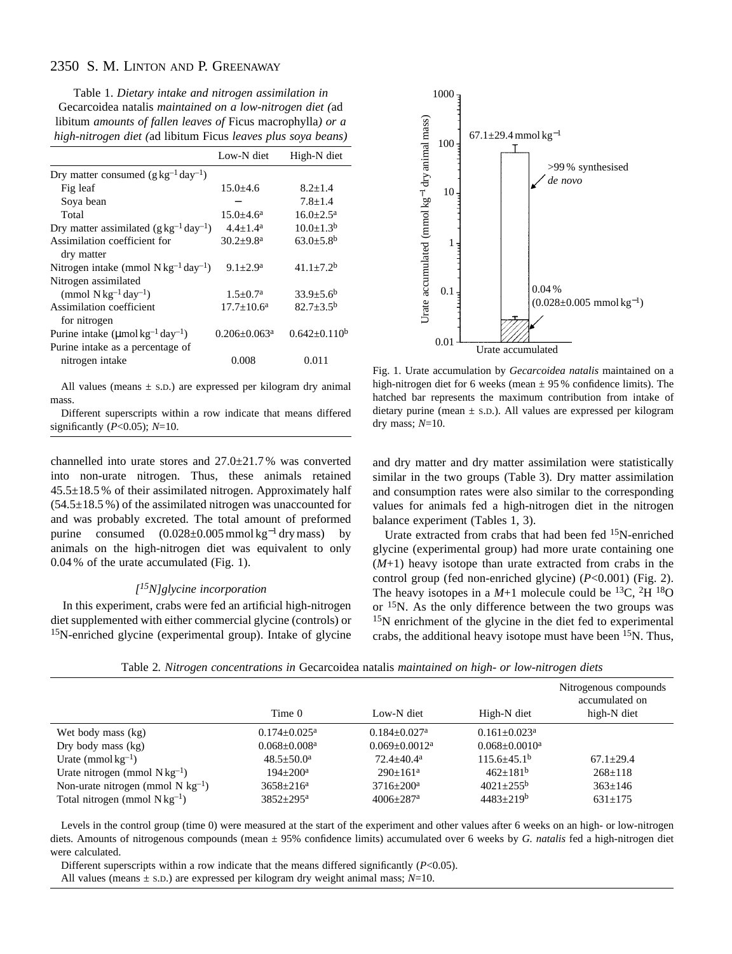# 2350 S. M. LINTON AND P. GREENAWAY

Table 1. *Dietary intake and nitrogen assimilation in* Gecarcoidea natalis *maintained on a low-nitrogen diet (*ad libitum *amounts of fallen leaves of* Ficus macrophylla*) or a high-nitrogen diet (*ad libitum Ficus *leaves plus soya beans)*

|                                                               | Low-N diet                   | High-N diet                 |
|---------------------------------------------------------------|------------------------------|-----------------------------|
| Dry matter consumed $(g \, kg^{-1} \, day^{-1})$              |                              |                             |
| Fig leaf                                                      | $15.0 \pm 4.6$               | $8.2 + 1.4$                 |
| Soya bean                                                     |                              | $7.8 + 1.4$                 |
| Total                                                         | $15.0 + 4.6^a$               | $16.0 + 2.5^a$              |
| Dry matter assimilated $(g \, kg^{-1} \, day^{-1})$           | $4.4 + 1.4^a$                | $10.0 \pm 1.3^b$            |
| Assimilation coefficient for<br>dry matter                    | $30.2 \pm 9.8$ <sup>a</sup>  | $63.0 \pm 5.8$ <sup>b</sup> |
| Nitrogen intake (mmol $Nkg^{-1}day^{-1}$ )                    | $9.1 + 2.9^a$                | $41.1+7.2b$                 |
| Nitrogen assimilated                                          |                              |                             |
| (mmol $N \text{ kg}^{-1}$ day <sup>-1</sup> )                 | $1.5 \pm 0.7^{\rm a}$        | $33.9 \pm 5.6^b$            |
| Assimilation coefficient<br>for nitrogen                      | $17.7 + 10.6^a$              | $82.7 + 3.5^{\rm b}$        |
| Purine intake $(\mu$ mol kg <sup>-1</sup> day <sup>-1</sup> ) | $0.206 + 0.063$ <sup>a</sup> | $0.642 \pm 0.110^b$         |
| Purine intake as a percentage of                              |                              |                             |
| nitrogen intake                                               | 0.008                        | 0.011                       |

All values (means  $\pm$  s.D.) are expressed per kilogram dry animal mass.

Different superscripts within a row indicate that means differed significantly (*P*<0.05); *N*=10.

channelled into urate stores and 27.0±21.7 % was converted into non-urate nitrogen. Thus, these animals retained 45.5±18.5 % of their assimilated nitrogen. Approximately half  $(54.5\pm18.5\%)$  of the assimilated nitrogen was unaccounted for and was probably excreted. The total amount of preformed purine consumed  $(0.028\pm0.005$  mmol kg<sup>-1</sup> dry mass) animals on the high-nitrogen diet was equivalent to only 0.04 % of the urate accumulated (Fig. 1).

## *[15N]glycine incorporation*

In this experiment, crabs were fed an artificial high-nitrogen diet supplemented with either commercial glycine (controls) or 15N-enriched glycine (experimental group). Intake of glycine



Fig. 1. Urate accumulation by *Gecarcoidea natalis* maintained on a high-nitrogen diet for 6 weeks (mean  $\pm$  95% confidence limits). The hatched bar represents the maximum contribution from intake of dietary purine (mean  $\pm$  s.D.). All values are expressed per kilogram dry mass; *N*=10.

and dry matter and dry matter assimilation were statistically similar in the two groups (Table 3). Dry matter assimilation and consumption rates were also similar to the corresponding values for animals fed a high-nitrogen diet in the nitrogen balance experiment (Tables 1, 3).

Urate extracted from crabs that had been fed 15N-enriched glycine (experimental group) had more urate containing one (*M*+1) heavy isotope than urate extracted from crabs in the control group (fed non-enriched glycine) (*P*<0.001) (Fig. 2). The heavy isotopes in a  $M+1$  molecule could be <sup>13</sup>C, <sup>2</sup>H <sup>18</sup>O or 15N. As the only difference between the two groups was <sup>15</sup>N enrichment of the glycine in the diet fed to experimental crabs, the additional heavy isotope must have been  $15N$ . Thus,

|                                        |                                |                              |                    | Nitrogenous compounds<br>accumulated on |
|----------------------------------------|--------------------------------|------------------------------|--------------------|-----------------------------------------|
|                                        | Time 0                         | Low-N diet                   | High-N diet        | high-N diet                             |
| Wet body mass (kg)                     | $0.174 + 0.025$ <sup>a</sup>   | $0.184 + 0.027$ <sup>a</sup> | $0.161 + 0.023a$   |                                         |
| Dry body mass $(kg)$                   | $0.068 \pm 0.008$ <sup>a</sup> | $0.069 + 0.0012^a$           | $0.068 + 0.0010^a$ |                                         |
| Urate (mmol $kg^{-1}$ )                | $48.5 + 50.0^{\circ}$          | $72.4 + 40.4^a$              | $115.6 + 45.1b$    | $67.1 + 29.4$                           |
| Urate nitrogen (mmol $Nkg^{-1}$ )      | $194 + 200^a$                  | $290+161^a$                  | $462+181b$         | $268 \pm 118$                           |
| Non-urate nitrogen (mmol N $kg^{-1}$ ) | $3658 + 216^a$                 | $3716 + 200a$                | $4021+255^{\rm b}$ | $363+146$                               |
| Total nitrogen (mmol $Nkg^{-1}$ )      | $3852 + 295^a$                 | $4006 + 287$ <sup>a</sup>    | $4483+219b$        | $631 \pm 175$                           |

Table 2*. Nitrogen concentrations in* Gecarcoidea natalis *maintained on high- or low-nitrogen diets*

Levels in the control group (time 0) were measured at the start of the experiment and other values after 6 weeks on an high- or low-nitrogen diets. Amounts of nitrogenous compounds (mean ± 95% confidence limits) accumulated over 6 weeks by *G. natalis* fed a high-nitrogen diet were calculated.

Different superscripts within a row indicate that the means differed significantly (*P*<0.05).

All values (means  $\pm$  s.D.) are expressed per kilogram dry weight animal mass;  $N=10$ .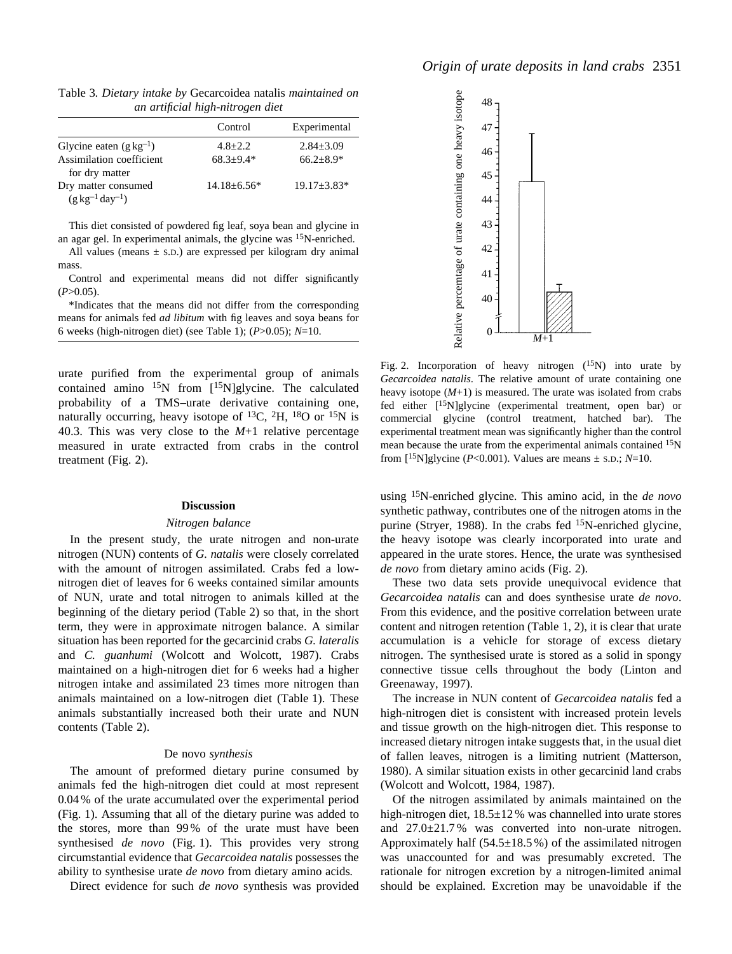|                                | Control           | Experimental    |
|--------------------------------|-------------------|-----------------|
| Glycine eaten $(g \, kg^{-1})$ | $4.8 + 2.2$       | $2.84 \pm 3.09$ |
| Assimilation coefficient       | $68.3 + 9.4*$     | $66.2 + 8.9*$   |
| for dry matter                 |                   |                 |
| Dry matter consumed            | $14.18 \pm 6.56*$ | $19.17 + 3.83*$ |
| $(g \, kg^{-1} \, day^{-1})$   |                   |                 |

Table 3*. Dietary intake by* Gecarcoidea natalis *maintained on an artificial high-nitrogen diet*

This diet consisted of powdered fig leaf, soya bean and glycine in an agar gel. In experimental animals, the glycine was 15N-enriched.

All values (means  $\pm$  s.D.) are expressed per kilogram dry animal mass.

Control and experimental means did not differ significantly  $(P>0.05)$ .

\*Indicates that the means did not differ from the corresponding means for animals fed *ad libitum* with fig leaves and soya beans for 6 weeks (high-nitrogen diet) (see Table 1); (*P*>0.05); *N*=10.

urate purified from the experimental group of animals contained amino  $^{15}N$  from  $[{}^{15}N]$ glycine. The calculated probability of a TMS–urate derivative containing one, naturally occurring, heavy isotope of <sup>13</sup>C, <sup>2</sup>H, <sup>18</sup>O or <sup>15</sup>N is 40.3. This was very close to the *M*+1 relative percentage measured in urate extracted from crabs in the control treatment (Fig. 2).

#### **Discussion**

#### *Nitrogen balance*

In the present study, the urate nitrogen and non-urate nitrogen (NUN) contents of *G. natalis* were closely correlated with the amount of nitrogen assimilated. Crabs fed a lownitrogen diet of leaves for 6 weeks contained similar amounts of NUN, urate and total nitrogen to animals killed at the beginning of the dietary period (Table 2) so that, in the short term, they were in approximate nitrogen balance. A similar situation has been reported for the gecarcinid crabs *G. lateralis* and *C. guanhumi* (Wolcott and Wolcott, 1987). Crabs maintained on a high-nitrogen diet for 6 weeks had a higher nitrogen intake and assimilated 23 times more nitrogen than animals maintained on a low-nitrogen diet (Table 1). These animals substantially increased both their urate and NUN contents (Table 2).

#### De novo *synthesis*

The amount of preformed dietary purine consumed by animals fed the high-nitrogen diet could at most represent 0.04 % of the urate accumulated over the experimental period (Fig. 1). Assuming that all of the dietary purine was added to the stores, more than 99 % of the urate must have been synthesised *de novo* (Fig. 1). This provides very strong circumstantial evidence that *Gecarcoidea natalis* possesses the ability to synthesise urate *de novo* from dietary amino acids*.*

Direct evidence for such *de novo* synthesis was provided



Fig. 2. Incorporation of heavy nitrogen  $(^{15}N)$  into urate by *Gecarcoidea natalis*. The relative amount of urate containing one heavy isotope (*M*+1) is measured. The urate was isolated from crabs fed either [15N]glycine (experimental treatment, open bar) or commercial glycine (control treatment, hatched bar). The experimental treatment mean was significantly higher than the control mean because the urate from the experimental animals contained 15N from  $[15N]$ glycine (*P*<0.001). Values are means  $\pm$  s.p.; *N*=10.

using 15N-enriched glycine. This amino acid, in the *de novo* synthetic pathway, contributes one of the nitrogen atoms in the purine (Stryer, 1988). In the crabs fed  $15N$ -enriched glycine, the heavy isotope was clearly incorporated into urate and appeared in the urate stores. Hence, the urate was synthesised *de novo* from dietary amino acids (Fig. 2).

These two data sets provide unequivocal evidence that *Gecarcoidea natalis* can and does synthesise urate *de novo*. From this evidence, and the positive correlation between urate content and nitrogen retention (Table 1, 2), it is clear that urate accumulation is a vehicle for storage of excess dietary nitrogen. The synthesised urate is stored as a solid in spongy connective tissue cells throughout the body (Linton and Greenaway, 1997).

The increase in NUN content of *Gecarcoidea natalis* fed a high-nitrogen diet is consistent with increased protein levels and tissue growth on the high-nitrogen diet. This response to increased dietary nitrogen intake suggests that, in the usual diet of fallen leaves, nitrogen is a limiting nutrient (Matterson, 1980). A similar situation exists in other gecarcinid land crabs (Wolcott and Wolcott, 1984, 1987).

Of the nitrogen assimilated by animals maintained on the high-nitrogen diet,  $18.5 \pm 12$ % was channelled into urate stores and 27.0±21.7 % was converted into non-urate nitrogen. Approximately half  $(54.5\pm18.5\%)$  of the assimilated nitrogen was unaccounted for and was presumably excreted. The rationale for nitrogen excretion by a nitrogen-limited animal should be explained. Excretion may be unavoidable if the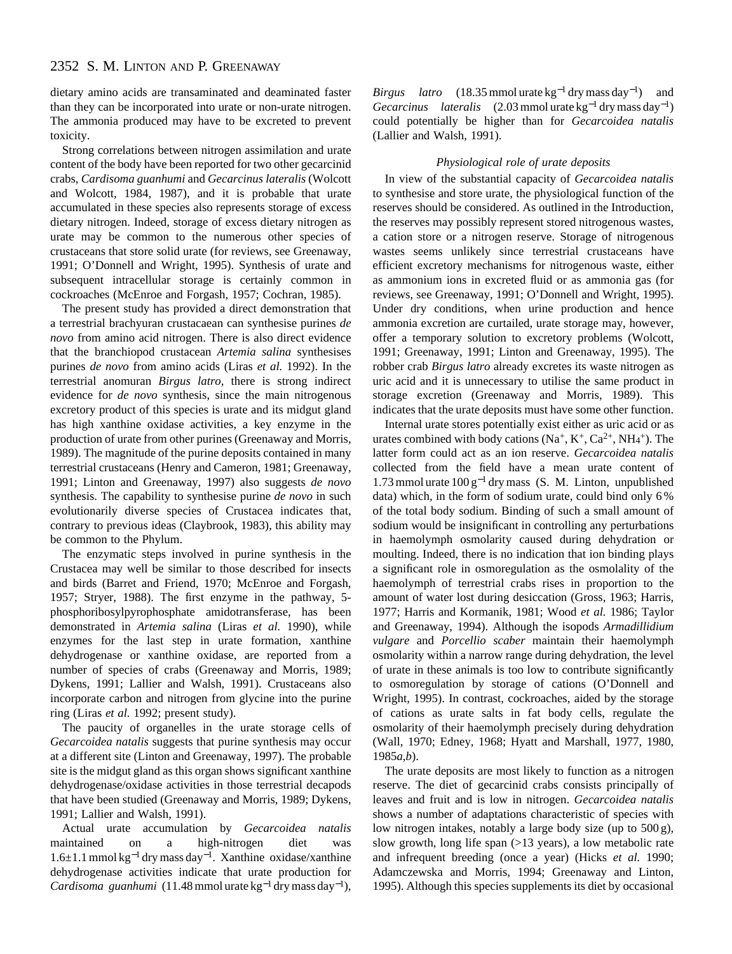dietary amino acids are transaminated and deaminated faster than they can be incorporated into urate or non-urate nitrogen. The ammonia produced may have to be excreted to prevent toxicity.

Strong correlations between nitrogen assimilation and urate content of the body have been reported for two other gecarcinid crabs, *Cardisoma guanhumi* and *Gecarcinus lateralis* (Wolcott and Wolcott, 1984, 1987), and it is probable that urate accumulated in these species also represents storage of excess dietary nitrogen. Indeed, storage of excess dietary nitrogen as urate may be common to the numerous other species of crustaceans that store solid urate (for reviews, see Greenaway, 1991; O'Donnell and Wright, 1995). Synthesis of urate and subsequent intracellular storage is certainly common in cockroaches (McEnroe and Forgash, 1957; Cochran, 1985).

The present study has provided a direct demonstration that a terrestrial brachyuran crustacaean can synthesise purines *de novo* from amino acid nitrogen. There is also direct evidence that the branchiopod crustacean *Artemia salina* synthesises purines *de novo* from amino acids (Liras *et al.* 1992). In the terrestrial anomuran *Birgus latro*, there is strong indirect evidence for *de novo* synthesis, since the main nitrogenous excretory product of this species is urate and its midgut gland has high xanthine oxidase activities, a key enzyme in the production of urate from other purines (Greenaway and Morris, 1989). The magnitude of the purine deposits contained in many terrestrial crustaceans (Henry and Cameron, 1981; Greenaway, 1991; Linton and Greenaway, 1997) also suggests *de novo* synthesis. The capability to synthesise purine *de novo* in such evolutionarily diverse species of Crustacea indicates that, contrary to previous ideas (Claybrook, 1983), this ability may be common to the Phylum.

The enzymatic steps involved in purine synthesis in the Crustacea may well be similar to those described for insects and birds (Barret and Friend, 1970; McEnroe and Forgash, 1957; Stryer, 1988). The first enzyme in the pathway, 5 phosphoribosylpyrophosphate amidotransferase, has been demonstrated in *Artemia salina* (Liras *et al.* 1990), while enzymes for the last step in urate formation, xanthine dehydrogenase or xanthine oxidase, are reported from a number of species of crabs (Greenaway and Morris, 1989; Dykens, 1991; Lallier and Walsh, 1991). Crustaceans also incorporate carbon and nitrogen from glycine into the purine ring (Liras *et al.* 1992; present study).

The paucity of organelles in the urate storage cells of *Gecarcoidea natalis* suggests that purine synthesis may occur at a different site (Linton and Greenaway, 1997). The probable site is the midgut gland as this organ shows significant xanthine dehydrogenase/oxidase activities in those terrestrial decapods that have been studied (Greenaway and Morris, 1989; Dykens, 1991; Lallier and Walsh, 1991).

Actual urate accumulation by *Gecarcoidea natalis* maintained on a high-nitrogen diet was 1.6±1.1mmol kg−<sup>1</sup> drymass day<sup>−</sup>1. Xanthine oxidase/xanthine dehydrogenase activities indicate that urate production for *Cardisoma guanhumi* (11.48mmol urate kg−<sup>1</sup> drymass day<sup>−</sup>1),

*Birgus latro* (18.35 mmol urate kg<sup>-1</sup> dry mass day<sup>-1</sup>) and *Gecarcinus lateralis* (2.03mmol urate kg−<sup>1</sup> drymass day<sup>−</sup>1) could potentially be higher than for *Gecarcoidea natalis* (Lallier and Walsh, 1991).

### *Physiological role of urate deposits*

In view of the substantial capacity of *Gecarcoidea natalis* to synthesise and store urate, the physiological function of the reserves should be considered. As outlined in the Introduction, the reserves may possibly represent stored nitrogenous wastes, a cation store or a nitrogen reserve. Storage of nitrogenous wastes seems unlikely since terrestrial crustaceans have efficient excretory mechanisms for nitrogenous waste, either as ammonium ions in excreted fluid or as ammonia gas (for reviews, see Greenaway, 1991; O'Donnell and Wright, 1995). Under dry conditions, when urine production and hence ammonia excretion are curtailed, urate storage may, however, offer a temporary solution to excretory problems (Wolcott, 1991; Greenaway, 1991; Linton and Greenaway, 1995). The robber crab *Birgus latro* already excretes its waste nitrogen as uric acid and it is unnecessary to utilise the same product in storage excretion (Greenaway and Morris, 1989). This indicates that the urate deposits must have some other function.

Internal urate stores potentially exist either as uric acid or as urates combined with body cations  $(Na^+, K^+, Ca^{2+}, NH<sub>4</sub><sup>+</sup>)$ . The latter form could act as an ion reserve. *Gecarcoidea natalis* collected from the field have a mean urate content of 1.73 mmol urate  $100 g^{-1}$  dry mass (S. M. Linton, unpublished data) which, in the form of sodium urate, could bind only 6 % of the total body sodium. Binding of such a small amount of sodium would be insignificant in controlling any perturbations in haemolymph osmolarity caused during dehydration or moulting. Indeed, there is no indication that ion binding plays a significant role in osmoregulation as the osmolality of the haemolymph of terrestrial crabs rises in proportion to the amount of water lost during desiccation (Gross, 1963; Harris, 1977; Harris and Kormanik, 1981; Wood *et al.* 1986; Taylor and Greenaway, 1994). Although the isopods *Armadillidium vulgare* and *Porcellio scaber* maintain their haemolymph osmolarity within a narrow range during dehydration, the level of urate in these animals is too low to contribute significantly to osmoregulation by storage of cations (O'Donnell and Wright, 1995). In contrast, cockroaches, aided by the storage of cations as urate salts in fat body cells, regulate the osmolarity of their haemolymph precisely during dehydration (Wall, 1970; Edney, 1968; Hyatt and Marshall, 1977, 1980, 1985*a*,*b*).

The urate deposits are most likely to function as a nitrogen reserve. The diet of gecarcinid crabs consists principally of leaves and fruit and is low in nitrogen. *Gecarcoidea natalis* shows a number of adaptations characteristic of species with low nitrogen intakes, notably a large body size (up to 500 g), slow growth, long life span (>13 years), a low metabolic rate and infrequent breeding (once a year) (Hicks *et al.* 1990; Adamczewska and Morris, 1994; Greenaway and Linton, 1995). Although this species supplements its diet by occasional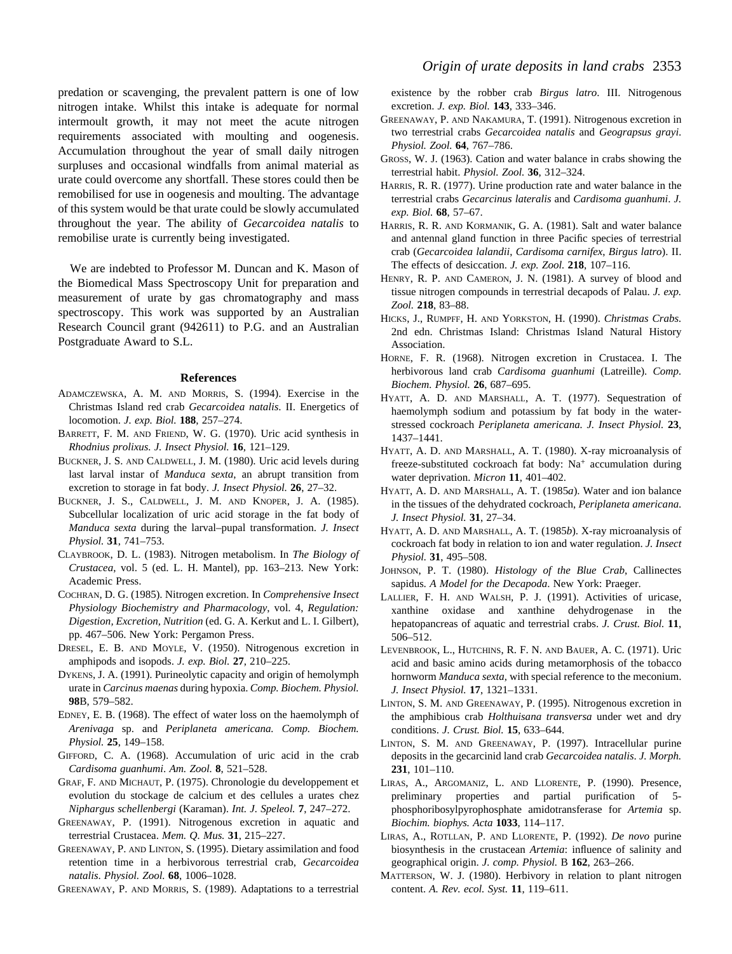predation or scavenging, the prevalent pattern is one of low nitrogen intake. Whilst this intake is adequate for normal intermoult growth, it may not meet the acute nitrogen requirements associated with moulting and oogenesis. Accumulation throughout the year of small daily nitrogen surpluses and occasional windfalls from animal material as urate could overcome any shortfall. These stores could then be remobilised for use in oogenesis and moulting. The advantage of this system would be that urate could be slowly accumulated throughout the year. The ability of *Gecarcoidea natalis* to remobilise urate is currently being investigated.

We are indebted to Professor M. Duncan and K. Mason of the Biomedical Mass Spectroscopy Unit for preparation and measurement of urate by gas chromatography and mass spectroscopy. This work was supported by an Australian Research Council grant (942611) to P.G. and an Australian Postgraduate Award to S.L.

#### **References**

- ADAMCZEWSKA, A. M. AND MORRIS, S. (1994). Exercise in the Christmas Island red crab *Gecarcoidea natalis*. II. Energetics of locomotion. *J. exp. Biol.* **188**, 257–274.
- BARRETT, F. M. AND FRIEND, W. G. (1970). Uric acid synthesis in *Rhodnius prolixus. J. Insect Physiol.* **16**, 121–129.
- BUCKNER, J. S. AND CALDWELL, J. M. (1980). Uric acid levels during last larval instar of *Manduca sexta*, an abrupt transition from excretion to storage in fat body. *J. Insect Physiol.* **26**, 27–32.
- BUCKNER, J. S., CALDWELL, J. M. AND KNOPER, J. A. (1985). Subcellular localization of uric acid storage in the fat body of *Manduca sexta* during the larval–pupal transformation. *J. Insect Physiol.* **31**, 741–753.
- CLAYBROOK, D. L. (1983). Nitrogen metabolism. In *The Biology of Crustacea*, vol. 5 (ed. L. H. Mantel), pp. 163–213. New York: Academic Press.
- COCHRAN, D. G. (1985). Nitrogen excretion. In *Comprehensive Insect Physiology Biochemistry and Pharmacology*, vol. 4, *Regulation: Digestion, Excretion, Nutrition* (ed. G. A. Kerkut and L. I. Gilbert), pp. 467–506. New York: Pergamon Press.
- DRESEL, E. B. AND MOYLE, V. (1950). Nitrogenous excretion in amphipods and isopods. *J. exp. Biol.* **27**, 210–225.
- DYKENS, J. A. (1991). Purineolytic capacity and origin of hemolymph urate in *Carcinus maenas* during hypoxia. *Comp. Biochem. Physiol.* **98**B, 579–582.
- EDNEY, E. B. (1968). The effect of water loss on the haemolymph of *Arenivaga* sp. and *Periplaneta americana. Comp. Biochem. Physiol.* **25**, 149–158.
- GIFFORD, C. A. (1968). Accumulation of uric acid in the crab *Cardisoma guanhumi*. *Am. Zool.* **8**, 521–528.
- GRAF, F. AND MICHAUT, P. (1975). Chronologie du developpement et evolution du stockage de calcium et des cellules a urates chez *Niphargus schellenbergi* (Karaman). *Int. J. Speleol.* **7**, 247–272.
- GREENAWAY, P. (1991). Nitrogenous excretion in aquatic and terrestrial Crustacea. *Mem. Q. Mus.* **31**, 215–227.
- GREENAWAY, P. AND LINTON, S. (1995). Dietary assimilation and food retention time in a herbivorous terrestrial crab, *Gecarcoidea natalis*. *Physiol. Zool.* **68**, 1006–1028.

GREENAWAY, P. AND MORRIS, S. (1989). Adaptations to a terrestrial

existence by the robber crab *Birgus latro*. III. Nitrogenous excretion. *J. exp. Biol.* **143**, 333–346.

- GREENAWAY, P. AND NAKAMURA, T. (1991). Nitrogenous excretion in two terrestrial crabs *Gecarcoidea natalis* and *Geograpsus grayi*. *Physiol. Zool.* **64**, 767–786.
- GROSS, W. J. (1963). Cation and water balance in crabs showing the terrestrial habit. *Physiol. Zool.* **36**, 312–324.
- HARRIS, R. R. (1977). Urine production rate and water balance in the terrestrial crabs *Gecarcinus lateralis* and *Cardisoma guanhumi*. *J. exp. Biol.* **68**, 57–67.
- HARRIS, R. R. AND KORMANIK, G. A. (1981). Salt and water balance and antennal gland function in three Pacific species of terrestrial crab (*Gecarcoidea lalandii*, *Cardisoma carnifex*, *Birgus latro*). II. The effects of desiccation. *J. exp. Zool.* **218**, 107–116.
- HENRY, R. P. AND CAMERON, J. N. (1981). A survey of blood and tissue nitrogen compounds in terrestrial decapods of Palau. *J. exp. Zool.* **218**, 83–88.
- HICKS, J., RUMPFF, H. AND YORKSTON, H. (1990). *Christmas Crabs.* 2nd edn. Christmas Island: Christmas Island Natural History Association.
- HORNE, F. R. (1968). Nitrogen excretion in Crustacea. I. The herbivorous land crab *Cardisoma guanhumi* (Latreille). *Comp. Biochem. Physiol.* **26**, 687–695.
- HYATT, A. D. AND MARSHALL, A. T. (1977). Sequestration of haemolymph sodium and potassium by fat body in the waterstressed cockroach *Periplaneta americana. J. Insect Physiol.* **23**, 1437–1441.
- HYATT, A. D. AND MARSHALL, A. T. (1980). X-ray microanalysis of freeze-substituted cockroach fat body: Na+ accumulation during water deprivation. *Micron* **11**, 401–402.
- HYATT, A. D. AND MARSHALL, A. T. (1985*a*). Water and ion balance in the tissues of the dehydrated cockroach, *Periplaneta americana*. *J. Insect Physiol.* **31**, 27–34.
- HYATT, A. D. AND MARSHALL, A. T. (1985*b*). X-ray microanalysis of cockroach fat body in relation to ion and water regulation. *J. Insect Physiol.* **31**, 495–508.
- JOHNSON, P. T. (1980). *Histology of the Blue Crab*, Callinectes sapidus*. A Model for the Decapoda*. New York: Praeger.
- LALLIER, F. H. AND WALSH, P. J. (1991). Activities of uricase, xanthine oxidase and xanthine dehydrogenase in the hepatopancreas of aquatic and terrestrial crabs. *J. Crust. Biol.* **11**, 506–512.
- LEVENBROOK, L., HUTCHINS, R. F. N. AND BAUER, A. C. (1971). Uric acid and basic amino acids during metamorphosis of the tobacco hornworm *Manduca sexta*, with special reference to the meconium. *J. Insect Physiol.* **17**, 1321–1331.
- LINTON, S. M. AND GREENAWAY, P. (1995). Nitrogenous excretion in the amphibious crab *Holthuisana transversa* under wet and dry conditions. *J. Crust. Biol.* **15**, 633–644.
- LINTON, S. M. AND GREENAWAY, P. (1997). Intracellular purine deposits in the gecarcinid land crab *Gecarcoidea natalis*. *J. Morph.* **231**, 101–110.
- LIRAS, A., ARGOMANIZ, L. AND LLORENTE, P. (1990). Presence, preliminary properties and partial purification of 5 phosphoribosylpyrophosphate amidotransferase for *Artemia* sp. *Biochim. biophys. Acta* **1033**, 114–117.
- LIRAS, A., ROTLLAN, P. AND LLORENTE, P. (1992). *De novo* purine biosynthesis in the crustacean *Artemia*: influence of salinity and geographical origin. *J. comp. Physiol.* B **162**, 263–266.
- MATTERSON, W. J. (1980). Herbivory in relation to plant nitrogen content. *A. Rev. ecol. Syst.* **11**, 119–611.